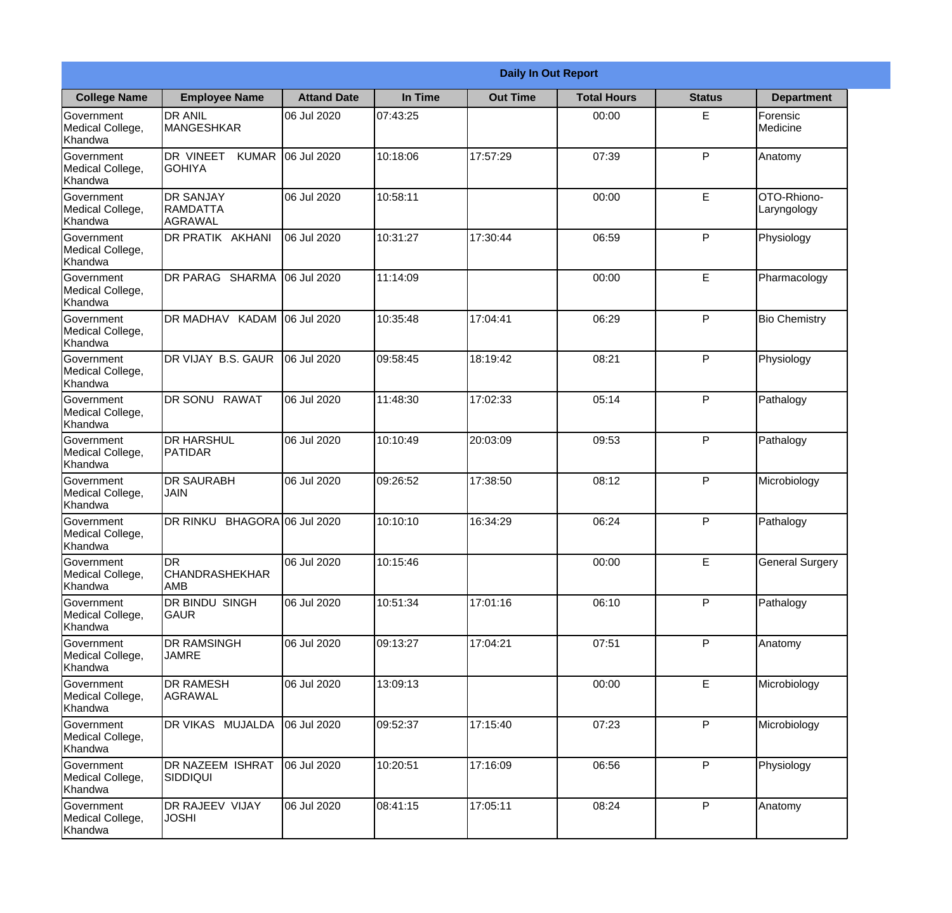|                                                  | <b>Daily In Out Report</b>                             |                     |          |                 |                    |               |                            |  |
|--------------------------------------------------|--------------------------------------------------------|---------------------|----------|-----------------|--------------------|---------------|----------------------------|--|
| <b>College Name</b>                              | <b>Employee Name</b>                                   | <b>Attand Date</b>  | In Time  | <b>Out Time</b> | <b>Total Hours</b> | <b>Status</b> | <b>Department</b>          |  |
| Government<br>Medical College,<br>Khandwa        | <b>DR ANIL</b><br><b>MANGESHKAR</b>                    | 06 Jul 2020         | 07:43:25 |                 | 00:00              | E.            | Forensic<br>Medicine       |  |
| Government<br>Medical College,<br>Khandwa        | DR VINEET<br><b>KUMAR</b><br><b>GOHIYA</b>             | 06 Jul 2020         | 10:18:06 | 17:57:29        | 07:39              | P             | Anatomy                    |  |
| <b>Government</b><br>Medical College,<br>Khandwa | <b>IDR SANJAY</b><br><b>RAMDATTA</b><br><b>AGRAWAL</b> | 06 Jul 2020         | 10:58:11 |                 | 00:00              | E             | OTO-Rhiono-<br>Laryngology |  |
| Government<br>Medical College,<br>Khandwa        | <b>DR PRATIK AKHANI</b>                                | 06 Jul 2020         | 10:31:27 | 17:30:44        | 06:59              | P             | Physiology                 |  |
| Government<br>Medical College,<br>Khandwa        | <b>DR PARAG SHARMA</b>                                 | 06 Jul 2020         | 11:14:09 |                 | 00:00              | E             | Pharmacology               |  |
| Government<br>Medical College,<br>Khandwa        | DR MADHAV KADAM                                        | 06 Jul 2020         | 10:35:48 | 17:04:41        | 06:29              | P             | <b>Bio Chemistry</b>       |  |
| Government<br>Medical College,<br>Khandwa        | DR VIJAY B.S. GAUR                                     | 06 Jul 2020         | 09:58:45 | 18:19:42        | 08:21              | P             | Physiology                 |  |
| <b>Government</b><br>Medical College,<br>Khandwa | DR SONU RAWAT                                          | 06 Jul 2020         | 11:48:30 | 17:02:33        | 05:14              | P             | Pathalogy                  |  |
| Government<br>Medical College,<br>Khandwa        | <b>DR HARSHUL</b><br>PATIDAR                           | 06 Jul 2020         | 10:10:49 | 20:03:09        | 09:53              | P             | Pathalogy                  |  |
| Government<br>Medical College,<br>Khandwa        | <b>DR SAURABH</b><br><b>JAIN</b>                       | 06 Jul 2020         | 09:26:52 | 17:38:50        | 08:12              | P             | Microbiology               |  |
| Government<br>Medical College,<br>Khandwa        | <b>DR RINKU</b>                                        | BHAGORA 06 Jul 2020 | 10:10:10 | 16:34:29        | 06:24              | $\mathsf{P}$  | Pathalogy                  |  |
| Government<br>Medical College,<br>Khandwa        | DR<br>CHANDRASHEKHAR<br><b>AMB</b>                     | 06 Jul 2020         | 10:15:46 |                 | 00:00              | E             | <b>General Surgery</b>     |  |
| Government<br>Medical College,<br>Khandwa        | DR BINDU SINGH<br><b>GAUR</b>                          | 06 Jul 2020         | 10:51:34 | 17:01:16        | 06:10              | P             | Pathalogy                  |  |
| Government<br>Medical College,<br>Khandwa        | <b>DR RAMSINGH</b><br><b>JAMRE</b>                     | 06 Jul 2020         | 09:13:27 | 17:04:21        | 07:51              | P             | Anatomy                    |  |
| Government<br>Medical College,<br>Khandwa        | <b>DR RAMESH</b><br>AGRAWAL                            | 06 Jul 2020         | 13:09:13 |                 | 00:00              | E             | Microbiology               |  |
| Government<br>Medical College,<br>Khandwa        | <b>DR VIKAS MUJALDA</b>                                | 06 Jul 2020         | 09:52:37 | 17:15:40        | 07:23              | P             | Microbiology               |  |
| Government<br>Medical College,<br>Khandwa        | <b>DR NAZEEM ISHRAT</b><br><b>SIDDIQUI</b>             | 06 Jul 2020         | 10:20:51 | 17:16:09        | 06:56              | P             | Physiology                 |  |
| Government<br>Medical College,<br>Khandwa        | <b>DR RAJEEV VIJAY</b><br><b>JOSHI</b>                 | 06 Jul 2020         | 08:41:15 | 17:05:11        | 08:24              | P             | Anatomy                    |  |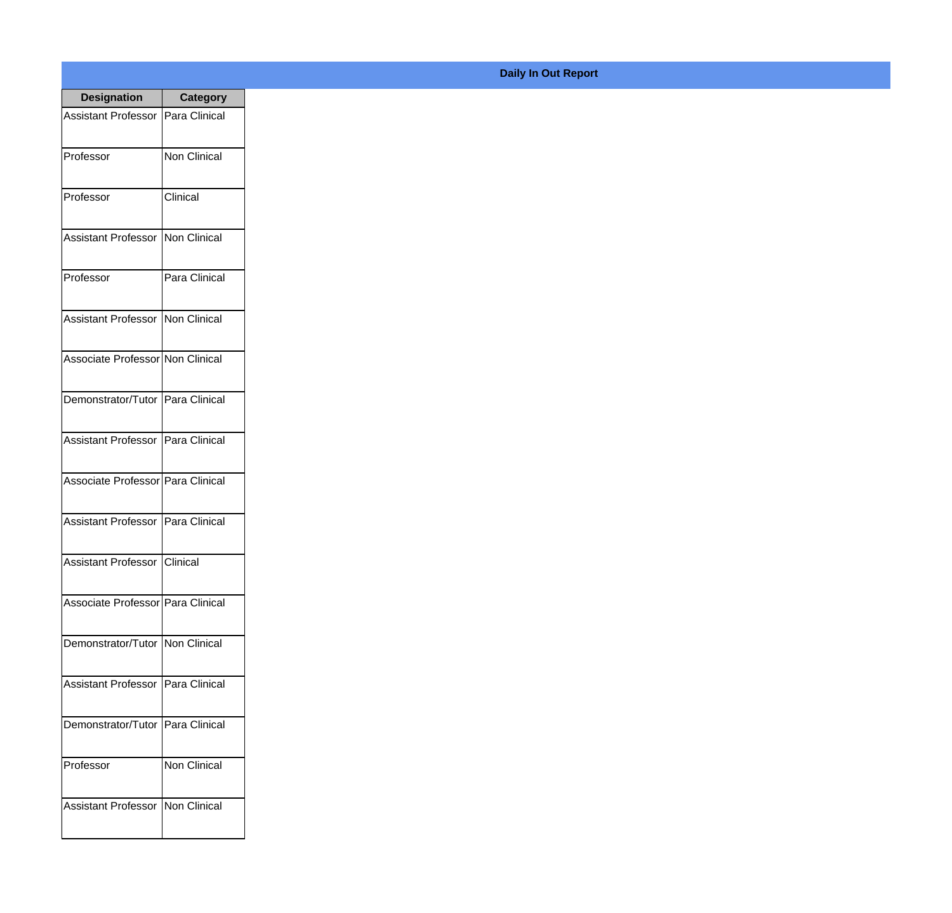| <b>Designation</b>                  | <b>Category</b>     |
|-------------------------------------|---------------------|
| Assistant Professor   Para Clinical |                     |
| Professor                           | <b>Non Clinical</b> |
| Professor                           | Clinical            |
| Assistant Professor                 | Non Clinical        |
| Professor                           | Para Clinical       |
| Assistant Professor   Non Clinical  |                     |
| Associate Professor Non Clinical    |                     |
| Demonstrator/Tutor   Para Clinical  |                     |
| Assistant Professor   Para Clinical |                     |
| Associate Professor Para Clinical   |                     |
| <b>Assistant Professor</b>          | Para Clinical       |
| Assistant Professor Clinical        |                     |
| Associate Professor   Para Clinical |                     |
| Demonstrator/Tutor   Non Clinical   |                     |
| <b>Assistant Professor</b>          | Para Clinical       |
| Demonstrator/Tutor   Para Clinical  |                     |
| Professor                           | Non Clinical        |
| <b>Assistant Professor</b>          | Non Clinical        |

## **Daily In Out Report**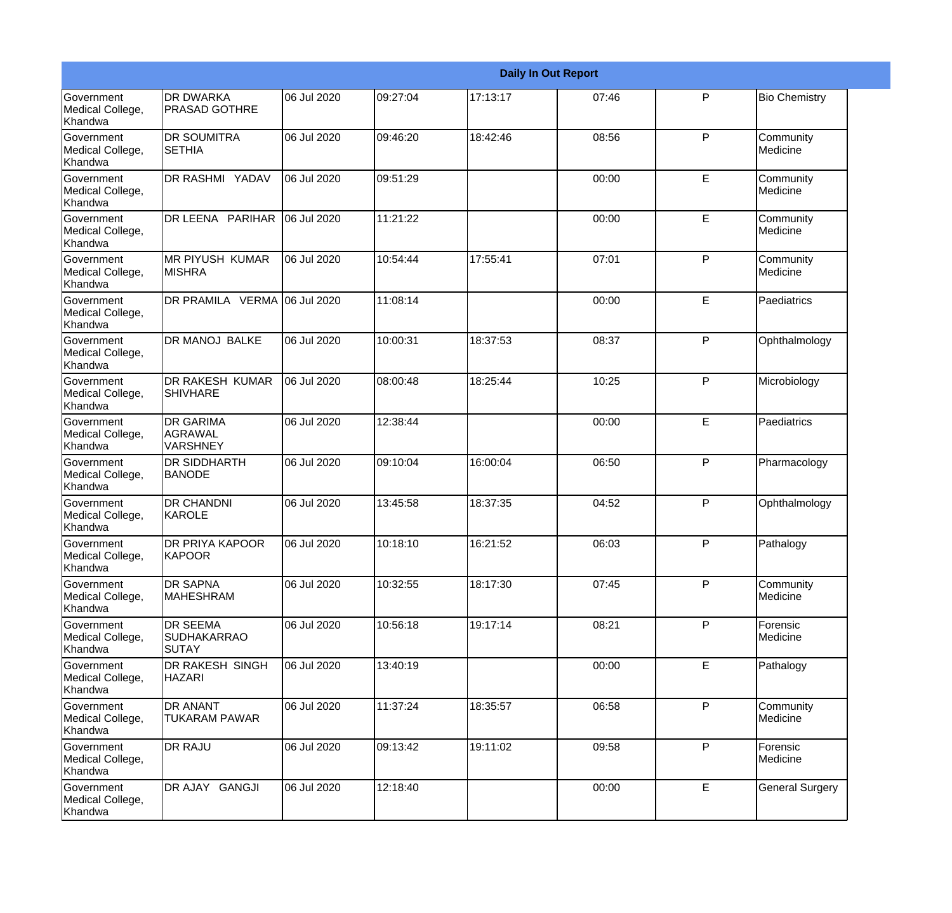|                                                  | <b>Daily In Out Report</b>                            |             |          |          |       |   |                        |
|--------------------------------------------------|-------------------------------------------------------|-------------|----------|----------|-------|---|------------------------|
| <b>Government</b><br>Medical College,<br>Khandwa | <b>DR DWARKA</b><br><b>PRASAD GOTHRE</b>              | 06 Jul 2020 | 09:27:04 | 17:13:17 | 07:46 | P | <b>Bio Chemistry</b>   |
| Government<br>Medical College,<br>Khandwa        | <b>DR SOUMITRA</b><br><b>SETHIA</b>                   | 06 Jul 2020 | 09:46:20 | 18:42:46 | 08:56 | P | Community<br>Medicine  |
| <b>Government</b><br>Medical College,<br>Khandwa | <b>DR RASHMI YADAV</b>                                | 06 Jul 2020 | 09:51:29 |          | 00:00 | E | Community<br>Medicine  |
| <b>Government</b><br>Medical College,<br>Khandwa | DR LEENA PARIHAR                                      | 06 Jul 2020 | 11:21:22 |          | 00:00 | E | Community<br>Medicine  |
| Government<br>Medical College,<br>Khandwa        | <b>IMR PIYUSH KUMAR</b><br><b>MISHRA</b>              | 06 Jul 2020 | 10:54:44 | 17:55:41 | 07:01 | P | Community<br>Medicine  |
| Government<br>Medical College,<br>Khandwa        | DR PRAMILA VERMA 06 Jul 2020                          |             | 11:08:14 |          | 00:00 | E | Paediatrics            |
| Government<br>Medical College,<br>Khandwa        | DR MANOJ BALKE                                        | 06 Jul 2020 | 10:00:31 | 18:37:53 | 08:37 | P | Ophthalmology          |
| <b>Government</b><br>Medical College,<br>Khandwa | <b>DR RAKESH KUMAR</b><br><b>SHIVHARE</b>             | 06 Jul 2020 | 08:00:48 | 18:25:44 | 10:25 | P | Microbiology           |
| Government<br>Medical College,<br>Khandwa        | <b>DR GARIMA</b><br><b>AGRAWAL</b><br>VARSHNEY        | 06 Jul 2020 | 12:38:44 |          | 00:00 | E | Paediatrics            |
| Government<br>Medical College,<br>Khandwa        | <b>DR SIDDHARTH</b><br><b>BANODE</b>                  | 06 Jul 2020 | 09:10:04 | 16:00:04 | 06:50 | P | Pharmacology           |
| <b>Government</b><br>Medical College,<br>Khandwa | <b>DR CHANDNI</b><br>KAROLE                           | 06 Jul 2020 | 13:45:58 | 18:37:35 | 04:52 | P | Ophthalmology          |
| Government<br>Medical College,<br>Khandwa        | <b>DR PRIYA KAPOOR</b><br>KAPOOR                      | 06 Jul 2020 | 10:18:10 | 16:21:52 | 06:03 | P | Pathalogy              |
| Government<br>Medical College,<br>Khandwa        | <b>DR SAPNA</b><br><b>MAHESHRAM</b>                   | 06 Jul 2020 | 10:32:55 | 18:17:30 | 07:45 | P | Community<br>Medicine  |
| Government<br>Medical College,<br>Khandwa        | <b>DR SEEMA</b><br><b>SUDHAKARRAO</b><br><b>SUTAY</b> | 06 Jul 2020 | 10:56:18 | 19:17:14 | 08:21 | P | Forensic<br>Medicine   |
| Government<br>Medical College,<br>Khandwa        | <b>DR RAKESH SINGH</b><br><b>HAZARI</b>               | 06 Jul 2020 | 13:40:19 |          | 00:00 | E | Pathalogy              |
| Government<br>Medical College,<br>Khandwa        | <b>DR ANANT</b><br><b>TUKARAM PAWAR</b>               | 06 Jul 2020 | 11:37:24 | 18:35:57 | 06:58 | P | Community<br>Medicine  |
| Government<br>Medical College,<br>Khandwa        | <b>DR RAJU</b>                                        | 06 Jul 2020 | 09:13:42 | 19:11:02 | 09:58 | P | Forensic<br>Medicine   |
| Government<br>Medical College,<br>Khandwa        | DR AJAY GANGJI                                        | 06 Jul 2020 | 12:18:40 |          | 00:00 | E | <b>General Surgery</b> |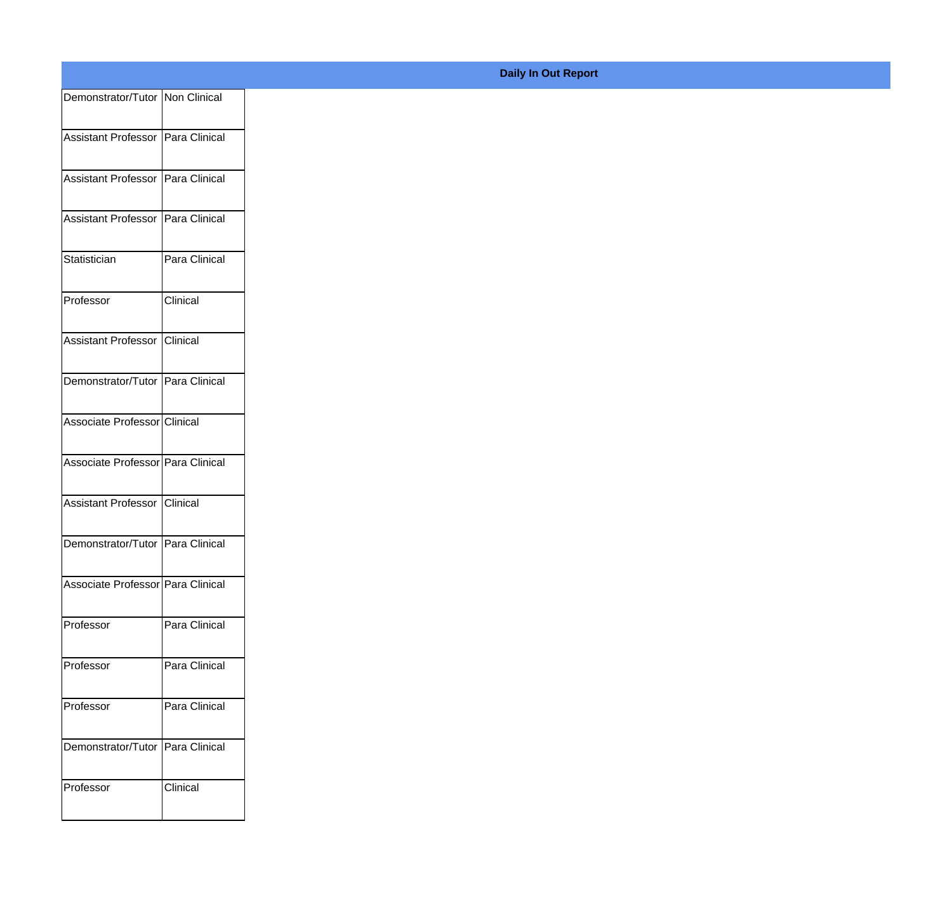| Demonstrator/Tutor Non Clinical     |               |
|-------------------------------------|---------------|
| Assistant Professor Para Clinical   |               |
|                                     |               |
| Assistant Professor Para Clinical   |               |
| Assistant Professor   Para Clinical |               |
| Statistician                        | Para Clinical |
|                                     |               |
| Professor                           | Clinical      |
| Assistant Professor Clinical        |               |
| Demonstrator/Tutor Para Clinical    |               |
|                                     |               |
| Associate Professor Clinical        |               |
| Associate Professor Para Clinical   |               |
| Assistant Professor Clinical        |               |
| Demonstrator/Tutor Para Clinical    |               |
|                                     |               |
| Associate Professor Para Clinical   |               |
| Professor                           | Para Clinical |
| Professor                           | Para Clinical |
| Professor                           | Para Clinical |
|                                     |               |
| Demonstrator/Tutor   Para Clinical  |               |
| Professor                           | Clinical      |
|                                     |               |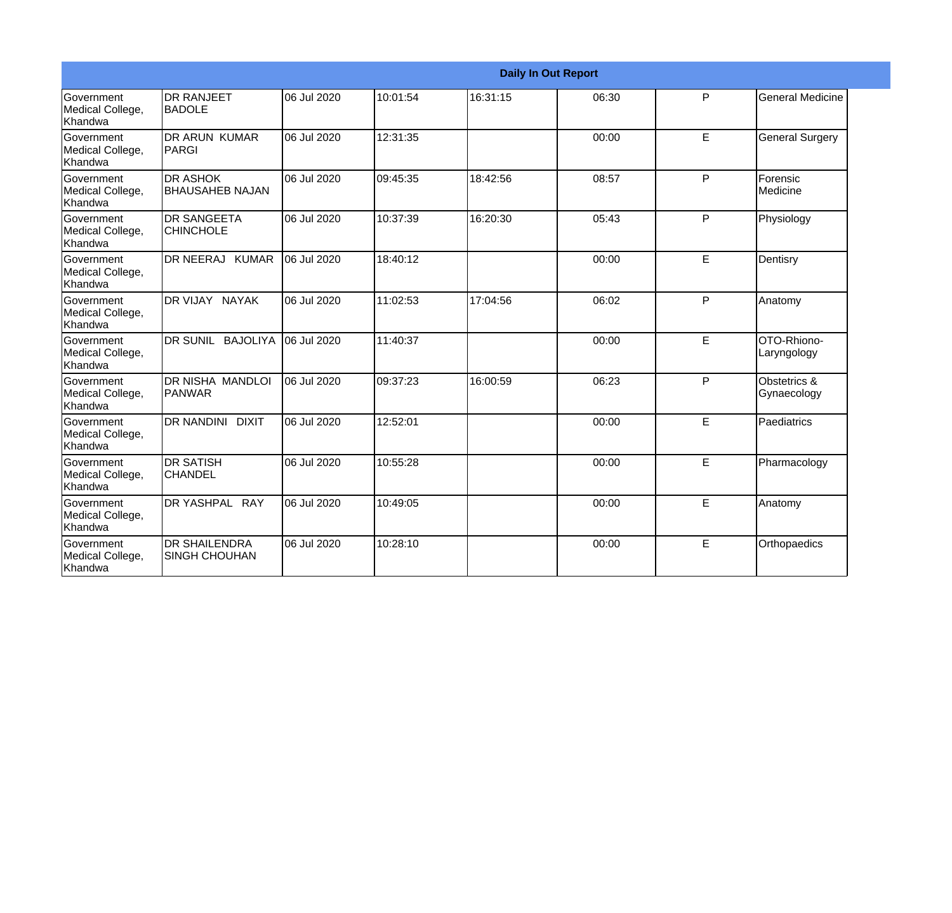|                                                         | <b>Daily In Out Report</b>                   |             |          |          |       |   |                             |  |
|---------------------------------------------------------|----------------------------------------------|-------------|----------|----------|-------|---|-----------------------------|--|
| Government<br>Medical College,<br>Khandwa               | <b>DR RANJEET</b><br><b>BADOLE</b>           | 06 Jul 2020 | 10:01:54 | 16:31:15 | 06:30 | P | <b>General Medicine</b>     |  |
| Government<br>Medical College,<br>Khandwa               | DR ARUN KUMAR<br>PARGI                       | 06 Jul 2020 | 12:31:35 |          | 00:00 | E | <b>General Surgery</b>      |  |
| Government<br>Medical College,<br>Khandwa               | <b>I</b> DR ASHOK<br><b>BHAUSAHEB NAJAN</b>  | 06 Jul 2020 | 09:45:35 | 18:42:56 | 08:57 | P | Forensic<br>Medicine        |  |
| <b>Government</b><br>Medical College,<br><b>Khandwa</b> | <b>DR SANGEETA</b><br><b>CHINCHOLE</b>       | 06 Jul 2020 | 10:37:39 | 16:20:30 | 05:43 | P | Physiology                  |  |
| <b>Government</b><br>Medical College,<br><b>Khandwa</b> | DR NEERAJ KUMAR                              | 06 Jul 2020 | 18:40:12 |          | 00:00 | E | Dentisry                    |  |
| Government<br>Medical College,<br>Khandwa               | DR VIJAY NAYAK                               | 06 Jul 2020 | 11:02:53 | 17:04:56 | 06:02 | P | Anatomy                     |  |
| Government<br>Medical College,<br>Khandwa               | DR SUNIL BAJOLIYA                            | 06 Jul 2020 | 11:40:37 |          | 00:00 | E | OTO-Rhiono-<br>Laryngology  |  |
| <b>Government</b><br>Medical College,<br>Khandwa        | IDR NISHA MANDLOI<br>PANWAR                  | 06 Jul 2020 | 09:37:23 | 16:00:59 | 06:23 | P | Obstetrics &<br>Gynaecology |  |
| Government<br>Medical College,<br>Khandwa               | DR NANDINI DIXIT                             | 06 Jul 2020 | 12:52:01 |          | 00:00 | E | Paediatrics                 |  |
| Government<br>Medical College,<br>Khandwa               | IDR SATISH<br><b>CHANDEL</b>                 | 06 Jul 2020 | 10:55:28 |          | 00:00 | E | Pharmacology                |  |
| Government<br>Medical College,<br>Khandwa               | DR YASHPAL RAY                               | 06 Jul 2020 | 10:49:05 |          | 00:00 | E | Anatomy                     |  |
| <b>Government</b><br>Medical College,<br>Khandwa        | <b>DR SHAILENDRA</b><br><b>SINGH CHOUHAN</b> | 06 Jul 2020 | 10:28:10 |          | 00:00 | E | Orthopaedics                |  |